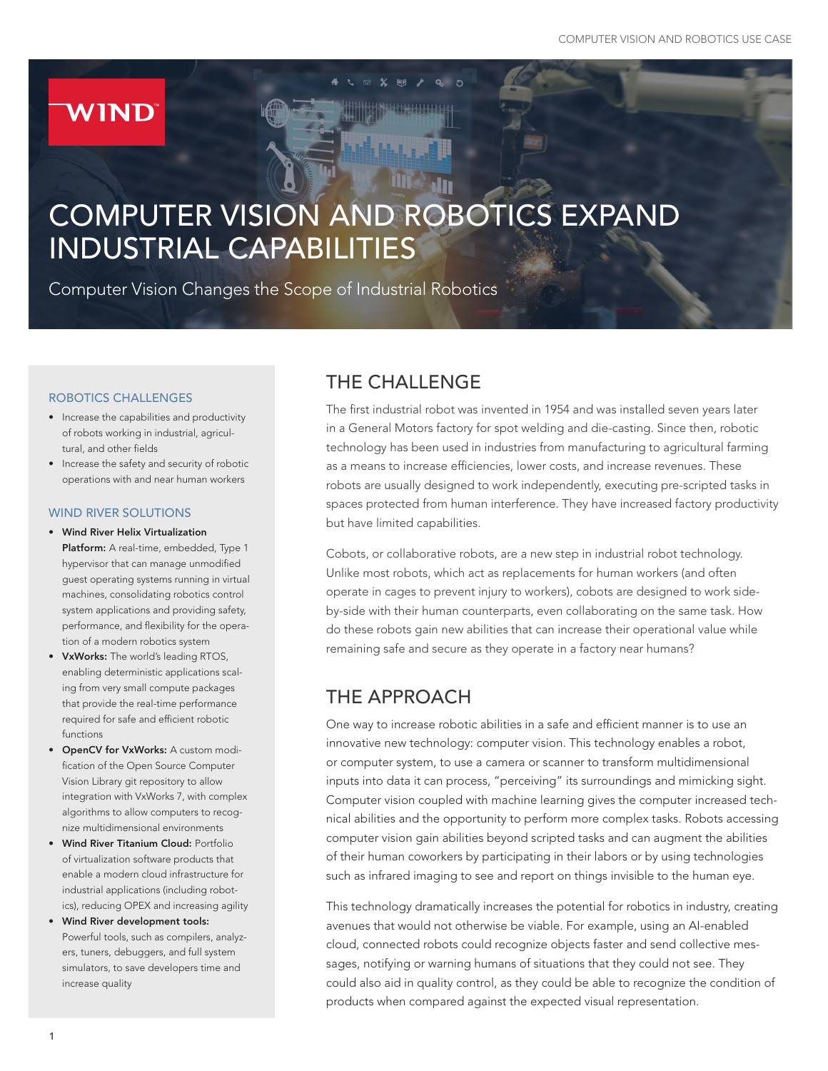# **WIND**

# COMPUTER VISION AND ROBOTICS EXPAND INDUSTRIAL CAPABILITIES

Computer Vision Changes the Scope of Industrial Robotics

#### ROBOTICS CHALLENGES

- Increase the capabilities and productivity of robots working in industrial, agricultural, and other fields
- Increase the safety and security of robotic operations with and near human workers

#### WIND RIVER SOLUTIONS

- Wind River Helix Virtualization Platform: A real-time, embedded, Type 1 hypervisor that can manage unmodified guest operating systems running in virtual machines, consolidating robotics control system applications and providing safety, performance, and flexibility for the operation of a modern robotics system
- VxWorks: The world's leading RTOS, enabling deterministic applications scaling from very small compute packages that provide the real-time performance required for safe and efficient robotic functions
- OpenCV for VxWorks: A custom modification of the Open Source Computer Vision Library git repository to allow integration with VxWorks 7, with complex algorithms to allow computers to recognize multidimensional environments
- Wind River Titanium Cloud: Portfolio of virtualization software products that enable a modern cloud infrastructure for industrial applications (including robotics), reducing OPEX and increasing agility
- Wind River development tools: Powerful tools, such as compilers, analyzers, tuners, debuggers, and full system simulators, to save developers time and increase quality

#### THE CHALLENGE

The first industrial robot was invented in 1954 and was installed seven years later in a General Motors factory for spot welding and die-casting. Since then, robotic technology has been used in industries from manufacturing to agricultural farming as a means to increase efficiencies, lower costs, and increase revenues. These robots are usually designed to work independently, executing pre-scripted tasks in spaces protected from human interference. They have increased factory productivity but have limited capabilities.

Cobots, or collaborative robots, are a new step in industrial robot technology. Unlike most robots, which act as replacements for human workers (and often operate in cages to prevent injury to workers), cobots are designed to work sideby-side with their human counterparts, even collaborating on the same task. How do these robots gain new abilities that can increase their operational value while remaining safe and secure as they operate in a factory near humans?

## THE APPROACH

One way to increase robotic abilities in a safe and efficient manner is to use an innovative new technology: computer vision. This technology enables a robot, or computer system, to use a camera or scanner to transform multidimensional inputs into data it can process, "perceiving" its surroundings and mimicking sight. Computer vision coupled with machine learning gives the computer increased technical abilities and the opportunity to perform more complex tasks. Robots accessing computer vision gain abilities beyond scripted tasks and can augment the abilities of their human coworkers by participating in their labors or by using technologies such as infrared imaging to see and report on things invisible to the human eye.

This technology dramatically increases the potential for robotics in industry, creating avenues that would not otherwise be viable. For example, using an AI-enabled cloud, connected robots could recognize objects faster and send collective messages, notifying or warning humans of situations that they could not see. They could also aid in quality control, as they could be able to recognize the condition of products when compared against the expected visual representation.